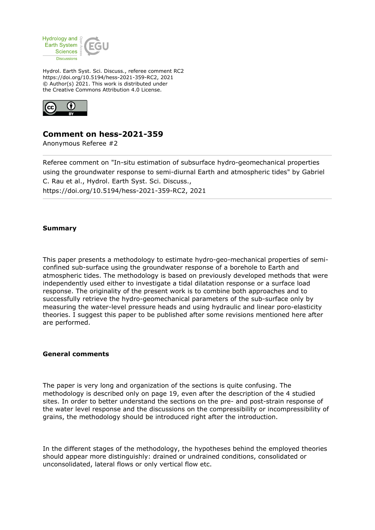

Hydrol. Earth Syst. Sci. Discuss., referee comment RC2 https://doi.org/10.5194/hess-2021-359-RC2, 2021 © Author(s) 2021. This work is distributed under the Creative Commons Attribution 4.0 License.



## **Comment on hess-2021-359**

Anonymous Referee #2

Referee comment on "In-situ estimation of subsurface hydro-geomechanical properties using the groundwater response to semi-diurnal Earth and atmospheric tides" by Gabriel C. Rau et al., Hydrol. Earth Syst. Sci. Discuss., https://doi.org/10.5194/hess-2021-359-RC2, 2021

## **Summary**

This paper presents a methodology to estimate hydro-geo-mechanical properties of semiconfined sub-surface using the groundwater response of a borehole to Earth and atmospheric tides. The methodology is based on previously developed methods that were independently used either to investigate a tidal dilatation response or a surface load response. The originality of the present work is to combine both approaches and to successfully retrieve the hydro-geomechanical parameters of the sub-surface only by measuring the water-level pressure heads and using hydraulic and linear poro-elasticity theories. I suggest this paper to be published after some revisions mentioned here after are performed.

## **General comments**

The paper is very long and organization of the sections is quite confusing. The methodology is described only on page 19, even after the description of the 4 studied sites. In order to better understand the sections on the pre- and post-strain response of the water level response and the discussions on the compressibility or incompressibility of grains, the methodology should be introduced right after the introduction.

In the different stages of the methodology, the hypotheses behind the employed theories should appear more distinguishly: drained or undrained conditions, consolidated or unconsolidated, lateral flows or only vertical flow etc.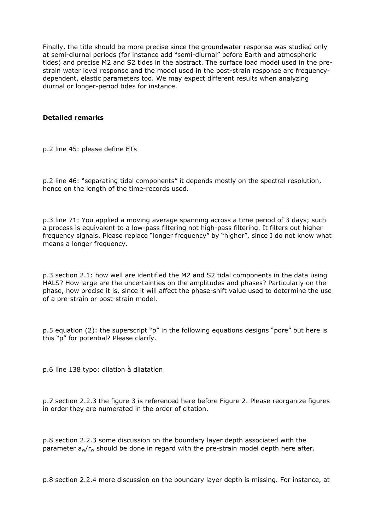Finally, the title should be more precise since the groundwater response was studied only at semi-diurnal periods (for instance add "semi-diurnal" before Earth and atmospheric tides) and precise M2 and S2 tides in the abstract. The surface load model used in the prestrain water level response and the model used in the post-strain response are frequencydependent, elastic parameters too. We may expect different results when analyzing diurnal or longer-period tides for instance.

## **Detailed remarks**

p.2 line 45: please define ETs

p.2 line 46: "separating tidal components" it depends mostly on the spectral resolution, hence on the length of the time-records used.

p.3 line 71: You applied a moving average spanning across a time period of 3 days; such a process is equivalent to a low-pass filtering not high-pass filtering. It filters out higher frequency signals. Please replace "longer frequency" by "higher", since I do not know what means a longer frequency.

p.3 section 2.1: how well are identified the M2 and S2 tidal components in the data using HALS? How large are the uncertainties on the amplitudes and phases? Particularly on the phase, how precise it is, since it will affect the phase-shift value used to determine the use of a pre-strain or post-strain model.

p.5 equation (2): the superscript "p" in the following equations designs "pore" but here is this "p" for potential? Please clarify.

p.6 line 138 typo: dilation à dilatation

p.7 section 2.2.3 the figure 3 is referenced here before Figure 2. Please reorganize figures in order they are numerated in the order of citation.

p.8 section 2.2.3 some discussion on the boundary layer depth associated with the parameter  $a_w/r_w$  should be done in regard with the pre-strain model depth here after.

p.8 section 2.2.4 more discussion on the boundary layer depth is missing. For instance, at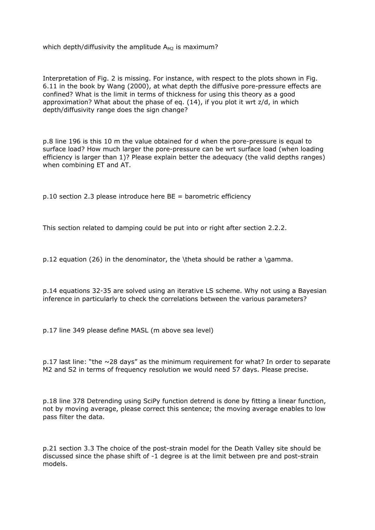which depth/diffusivity the amplitude  $A_{M2}$  is maximum?

Interpretation of Fig. 2 is missing. For instance, with respect to the plots shown in Fig. 6.11 in the book by Wang (2000), at what depth the diffusive pore-pressure effects are confined? What is the limit in terms of thickness for using this theory as a good approximation? What about the phase of eq. (14), if you plot it wrt z/d, in which depth/diffusivity range does the sign change?

p.8 line 196 is this 10 m the value obtained for d when the pore-pressure is equal to surface load? How much larger the pore-pressure can be wrt surface load (when loading efficiency is larger than 1)? Please explain better the adequacy (the valid depths ranges) when combining ET and AT.

 $p.10$  section 2.3 please introduce here BE = barometric efficiency

This section related to damping could be put into or right after section 2.2.2.

p.12 equation (26) in the denominator, the \theta should be rather a \gamma.

p.14 equations 32-35 are solved using an iterative LS scheme. Why not using a Bayesian inference in particularly to check the correlations between the various parameters?

p.17 line 349 please define MASL (m above sea level)

p.17 last line: "the ~28 days" as the minimum requirement for what? In order to separate M2 and S2 in terms of frequency resolution we would need 57 days. Please precise.

p.18 line 378 Detrending using SciPy function detrend is done by fitting a linear function, not by moving average, please correct this sentence; the moving average enables to low pass filter the data.

p.21 section 3.3 The choice of the post-strain model for the Death Valley site should be discussed since the phase shift of -1 degree is at the limit between pre and post-strain models.